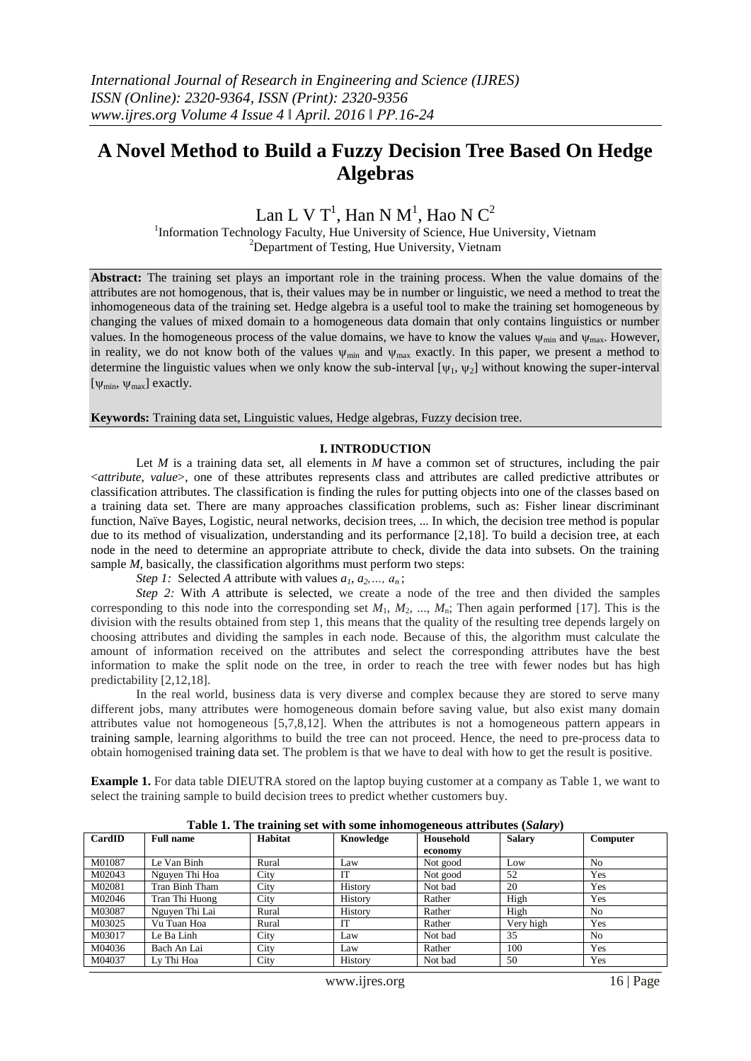# **A Novel Method to Build a Fuzzy Decision Tree Based On Hedge Algebras**

# Lan L V T $^{\rm l}$ , Han N M $^{\rm l}$ , Hao N  $\rm C^2$

<sup>1</sup>Information Technology Faculty, Hue University of Science, Hue University, Vietnam <sup>2</sup>Department of Testing, Hue University, Vietnam

**Abstract:** The training set plays an important role in the training process. When the value domains of the attributes are not homogenous, that is, their values may be in number or linguistic, we need a method to treat the inhomogeneous data of the training set. Hedge algebra is a useful tool to make the training set homogeneous by changing the values of mixed domain to a homogeneous data domain that only contains linguistics or number values. In the homogeneous process of the value domains, we have to know the values  $\psi_{min}$  and  $\psi_{max}$ . However, in reality, we do not know both of the values  $\psi_{\text{min}}$  and  $\psi_{\text{max}}$  exactly. In this paper, we present a method to determine the linguistic values when we only know the sub-interval  $[\psi_1, \psi_2]$  without knowing the super-interval [ $\psi$ <sub>min</sub>,  $\psi$ <sub>max</sub>] exactly.

**Keywords:** Training data set, Linguistic values, Hedge algebras, Fuzzy decision tree.

### **I. INTRODUCTION**

Let *M* is a training data set, all elements in *M* have a common set of structures, including the pair <*attribute*, *value*>, one of these attributes represents class and attributes are called predictive attributes or classification attributes. The classification is finding the rules for putting objects into one of the classes based on a training data set. There are many approaches classification problems, such as: Fisher linear discriminant function, Naïve Bayes, Logistic, neural networks, decision trees, ... In which, the decision tree method is popular due to its method of visualization, understanding and its performance [2,18]. To build a decision tree, at each node in the need to determine an appropriate attribute to check, divide the data into subsets. On the training sample *M*, basically, the classification algorithms must perform two steps:

*Step 1:* Selected *A* attribute with values  $a_1, a_2, ..., a_n$ ;

*Step 2:* With *A* attribute is selected, we create a node of the tree and then divided the samples corresponding to this node into the corresponding set  $M_1$ ,  $M_2$ , ...,  $M_n$ ; Then again performed [17]. This is the division with the results obtained from step 1, this means that the quality of the resulting tree depends largely on choosing attributes and dividing the samples in each node. Because of this, the algorithm must calculate the amount of information received on the attributes and select the corresponding attributes have the best information to make the split node on the tree, in order to reach the tree with fewer nodes but has high predictability [2,12,18].

In the real world, business data is very diverse and complex because they are stored to serve many different jobs, many attributes were homogeneous domain before saving value, but also exist many domain attributes value not homogeneous [5,7,8,12]. When the attributes is not a homogeneous pattern appears in training sample, learning algorithms to build the tree can not proceed. Hence, the need to pre-process data to obtain homogenised training data set. The problem is that we have to deal with how to get the result is positive.

**Example 1.** For data table DIEUTRA stored on the laptop buying customer at a company as Table 1, we want to select the training sample to build decision trees to predict whether customers buy.

| CardID | <b>Full name</b> | Habitat | Knowledge | Household | <b>Salary</b> | Computer       |
|--------|------------------|---------|-----------|-----------|---------------|----------------|
|        |                  |         |           | economy   |               |                |
| M01087 | Le Van Binh      | Rural   | Law       | Not good  | Low           | N <sub>0</sub> |
| M02043 | Nguyen Thi Hoa   | City    | IT        | Not good  | 52            | Yes            |
| M02081 | Tran Binh Tham   | City    | History   | Not bad   | 20            | Yes            |
| M02046 | Tran Thi Huong   | City    | History   | Rather    | High          | Yes            |
| M03087 | Nguyen Thi Lai   | Rural   | History   | Rather    | High          | N <sub>0</sub> |
| M03025 | Vu Tuan Hoa      | Rural   | IT        | Rather    | Very high     | Yes            |
| M03017 | Le Ba Linh       | City    | Law       | Not bad   | 35            | N <sub>0</sub> |
| M04036 | Bach An Lai      | City    | Law       | Rather    | 100           | Yes            |
| M04037 | Ly Thi Hoa       | City    | History   | Not bad   | 50            | Yes            |

**Table 1. The training set with some inhomogeneous attributes (***Salary***)**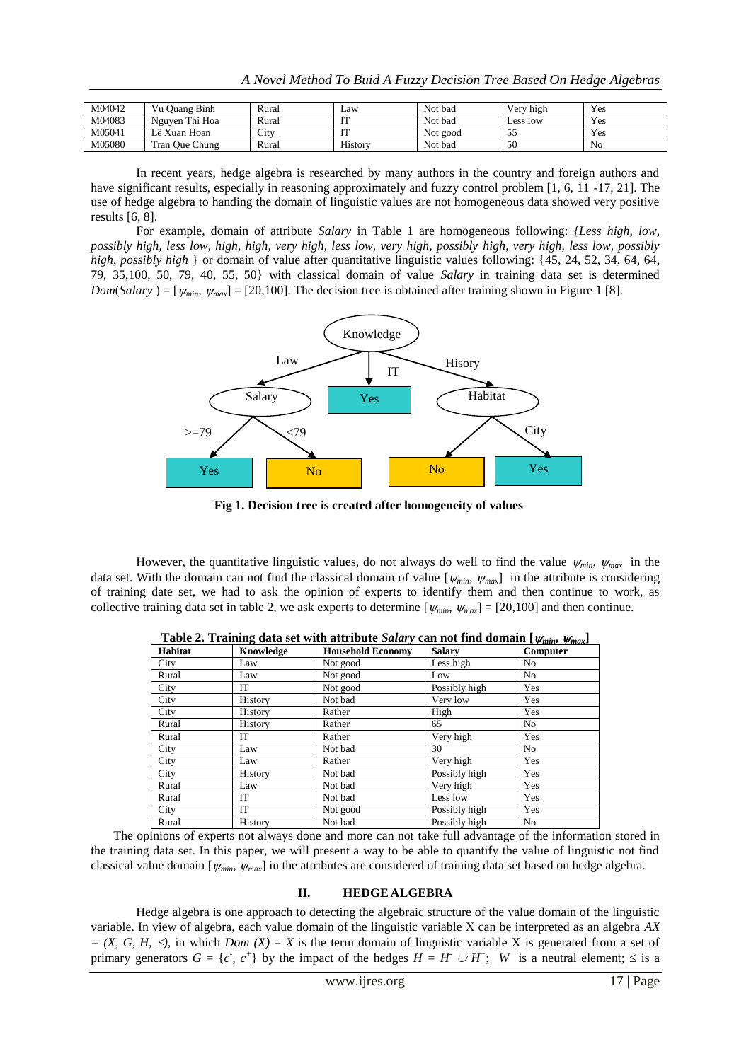| M04042 | Vu Quang Bình  | Rural                               | ∟aw        | Not bad  | Verv high      | Yes            |
|--------|----------------|-------------------------------------|------------|----------|----------------|----------------|
| M04083 | Nguyen Thi Hoa | Rural                               | <b>TER</b> | Not bad  | less low       | Yes            |
| M05041 | Xuan Hoan<br>ê | $\sim$<br>$\mathcal{L}1\mathcal{U}$ | <b>TEX</b> | Not good | $\sim$ .<br>ັ້ | Yes            |
| M05080 | Tran Oue Chung | Rural                               | History    | Not bad  | 50             | N <sub>o</sub> |

In recent years, hedge algebra is researched by many authors in the country and foreign authors and have significant results, especially in reasoning approximately and fuzzy control problem [1, 6, 11 -17, 21]. The use of hedge algebra to handing the domain of linguistic values are not homogeneous data showed very positive results [6, 8].

For example, domain of attribute *Salary* in Table 1 are homogeneous following: *{Less high, low, possibly high, less low, high, high, very high, less low, very high, possibly high, very high, less low, possibly high, possibly high* } or domain of value after quantitative linguistic values following: {45, 24, 52, 34, 64, 64, 79, 35,100, 50, 79, 40, 55, 50} with classical domain of value *Salary* in training data set is determined *Dom*(*Salary* ) =  $[\psi_{min}, \psi_{max}]$  = [20,100]. The decision tree is obtained after training shown in Figure 1 [8].



**Fig 1. Decision tree is created after homogeneity of values**

However, the quantitative linguistic values, do not always do well to find the value  $\psi_{min}$ ,  $\psi_{max}$  in the data set. With the domain can not find the classical domain of value  $[\psi_{min}, \psi_{max}]$  in the attribute is considering of training date set, we had to ask the opinion of experts to identify them and then continue to work, as collective training data set in table 2, we ask experts to determine  $[\psi_{min}, \psi_{max}] = [20,100]$  and then continue.

| Habitat | Knowledge | <b>Household Economy</b> | <b>Salary</b> | сттин тишлэ<br>Computer |
|---------|-----------|--------------------------|---------------|-------------------------|
| City    | Law       | Not good                 | Less high     | N <sub>o</sub>          |
| Rural   | Law       | Not good                 | Low           | N <sub>0</sub>          |
| City    | IT        | Not good                 | Possibly high | Yes                     |
| City    | History   | Not bad                  | Very low      | Yes                     |
| City    | History   | Rather                   | High          | Yes                     |
| Rural   | History   | Rather                   | 65            | No                      |
| Rural   | IТ        | Rather                   | Very high     | Yes                     |
| City    | Law       | Not bad                  | 30            | N <sub>o</sub>          |
| City    | Law       | Rather                   | Very high     | Yes                     |
| City    | History   | Not bad                  | Possibly high | Yes                     |
| Rural   | Law       | Not bad                  | Very high     | Yes                     |
| Rural   | IT        | Not bad                  | Less low      | Yes                     |
| City    | IT        | Not good                 | Possibly high | Yes                     |
| Rural   | History   | Not bad                  | Possibly high | N <sub>o</sub>          |

**Table 2. Training data set with attribute** *Salary* **can not find domain**  $[\psi_{min}, \psi_{max}]$ 

The opinions of experts not always done and more can not take full advantage of the information stored in the training data set. In this paper, we will present a way to be able to quantify the value of linguistic not find classical value domain  $[\psi_{min}, \psi_{max}]$  in the attributes are considered of training data set based on hedge algebra.

#### **II. HEDGE ALGEBRA**

Hedge algebra is one approach to detecting the algebraic structure of the value domain of the linguistic variable. In view of algebra, each value domain of the linguistic variable X can be interpreted as an algebra *AX*   $=(X, G, H, \leq)$ , in which *Dom*  $(X) = X$  is the term domain of linguistic variable X is generated from a set of primary generators  $G = \{c, c^+\}$  by the impact of the hedges  $H = H \cup H^+$ ; *W* is a neutral element;  $\leq$  is a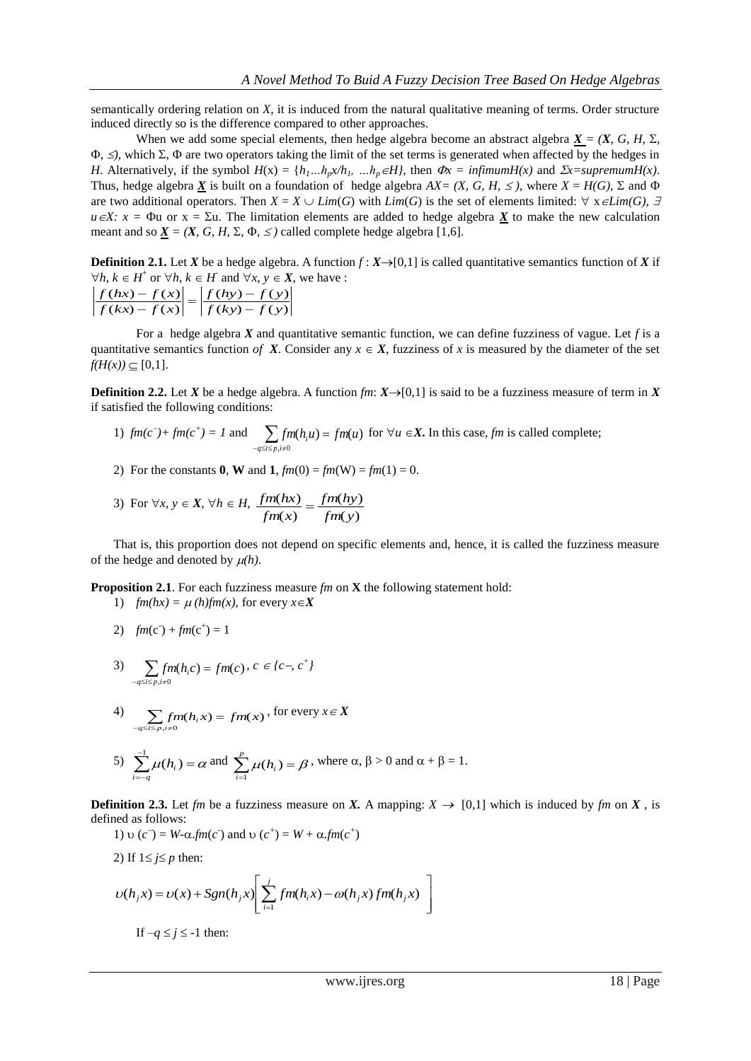semantically ordering relation on *X*, it is induced from the natural qualitative meaning of terms. Order structure induced directly so is the difference compared to other approaches.

When we add some special elements, then hedge algebra become an abstract algebra  $\underline{X} = (X, G, H, \Sigma, \Sigma)$  $\Phi$ ,  $\leq$ ), which  $\Sigma$ ,  $\Phi$  are two operators taking the limit of the set terms is generated when affected by the hedges in *H*. Alternatively, if the symbol  $H(x) = \{h_1...h_p x/h_1, ..., h_p \in H\}$ , then  $\Phi x = \text{infimum } H(x)$  and  $\Sigma x = \text{supremum } H(x)$ . Thus, hedge algebra  $\underline{X}$  is built on a foundation of hedge algebra  $AX = (X, G, H, \leq)$ , where  $X = H(G), \Sigma$  and  $\Phi$ are two additional operators. Then  $X = X \cup Lim(G)$  with  $Lim(G)$  is the set of elements limited:  $\forall x \in Lim(G)$ ,  $\exists$  $u \in X$ :  $x = \Phi u$  or  $x = \Sigma u$ . The limitation elements are added to hedge algebra  $\underline{X}$  to make the new calculation meant and so  $\underline{X} = (X, G, H, \Sigma, \Phi, \leq)$  called complete hedge algebra [1,6].

**Definition 2.1.** Let *X* be a hedge algebra. A function  $f: X \rightarrow [0,1]$  is called quantitative semantics function of *X* if  $\forall h, k \in H^+$  or  $\forall h, k \in H$  and  $\forall x, y \in X$ , we have :

$$
\left|\frac{f(hx)-f(x)}{f(kx)-f(x)}\right| = \left|\frac{f(hy)-f(y)}{f(ky)-f(y)}\right|
$$

For a hedge algebra  $X$  and quantitative semantic function, we can define fuzziness of vague. Let  $f$  is a quantitative semantics function *of X*. Consider any  $x \in X$ , fuzziness of x is measured by the diameter of the set  $f(H(x)) \subseteq [0,1].$ 

**Definition 2.2.** Let *X* be a hedge algebra. A function *fm*:  $X \rightarrow [0,1]$  is said to be a fuzziness measure of term in *X* if satisfied the following conditions:

- 1)  $\lim_{c \to c} (c^+) + \lim_{c \to c} (c^+) = 1$  and  $\sum_{-q \le i \le p, i \ne c} f$  $=$  $, i\neq 0$  $h_i(u) = fm(u)$  $\sum_{q \le i \le p, i \ne 0} f_m(h_i u) = fm(u)$  for  $\forall u \in X$ . In this case, *fm* is called complete;
- 2) For the constants **0**, **W** and **1**,  $\mathit{fm}(0) = \mathit{fm}(W) = \mathit{fm}(1) = 0$ .
- 3) For  $\forall x, y \in X, \forall h \in H$ ,  $(y)$  $(hy)$  $\left( x\right)$  $(hx)$ *fm y fm hy fm x*  $\frac{fm(hx)}{g(x)}$  =

That is, this proportion does not depend on specific elements and, hence, it is called the fuzziness measure of the hedge and denoted by  $\mu(h)$ .

**Proposition 2.1**. For each fuzziness measure *fm* on **X** the following statement hold:

- 1)  $fm(hx) = \mu(h)fm(x)$ , for every  $x \in X$
- 2)  $fm(c^-) + fm(c^+) = 1$

3) 
$$
\sum_{-q \le i \le p, i \ne 0} fm(h_i c) = fm(c), c \in \{c-, c^+\}
$$

4) 
$$
\sum_{-q \leq i \leq p, i \neq 0} fm(h_i x) = fm(x), \text{ for every } x \in X
$$

5) 
$$
\sum_{i=-q}^{-1} \mu(h_i) = \alpha \text{ and } \sum_{i=1}^{p} \mu(h_i) = \beta \text{ , where } \alpha, \beta > 0 \text{ and } \alpha + \beta = 1.
$$

**Definition 2.3.** Let *fm* be a fuzziness measure on *X*. A mapping:  $X \to [0,1]$  which is induced by *fm* on *X*, is defined as follows:

> $\overline{\phantom{a}}$  $\overline{\phantom{a}}$  $\rfloor$

> 1

1) v (c<sup>-</sup>) = W-
$$
\alpha
$$
, fm(c<sup>-</sup>) and v (c<sup>+</sup>) = W +  $\alpha$ , fm(c<sup>+</sup>)  
\n2) If 1 \le j \le p then:  
\n
$$
U(h_j x) = U(x) + Sgn(h_j x) \Bigg[ \sum_{i=1}^{j} fm(h_i x) - \omega(h_j x) fm(h_j x)
$$

If  $-q \leq j \leq -1$  then: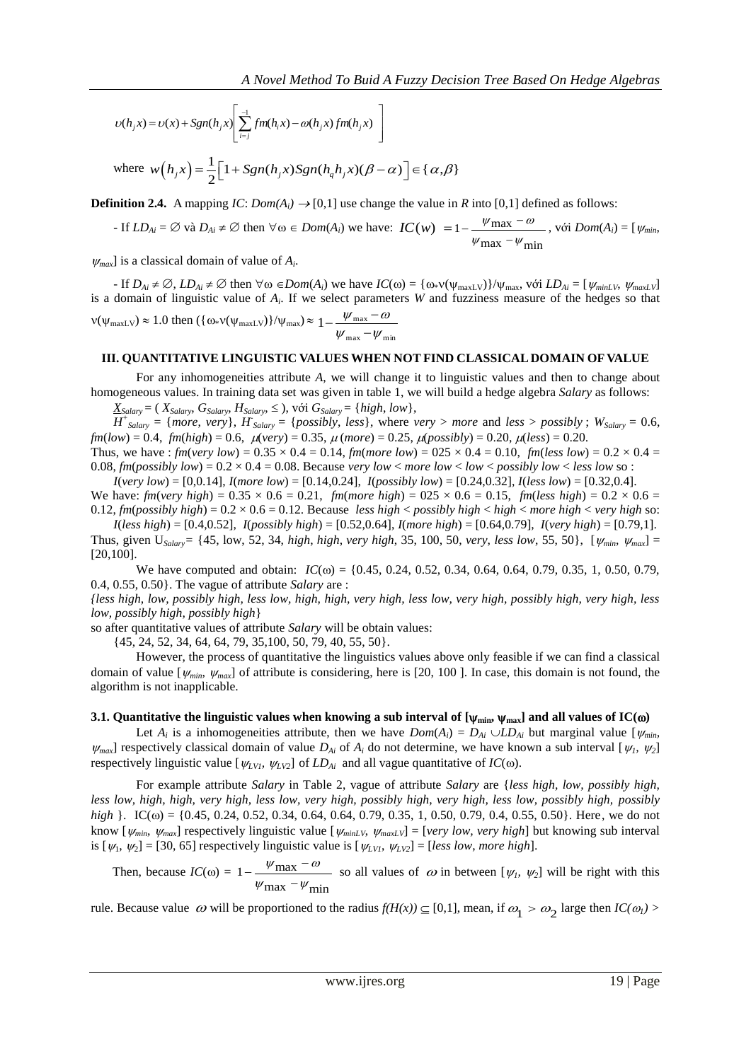$$
\upsilon(h_j x) = \upsilon(x) + Sgn(h_j x) \left[ \sum_{i=j}^{-1} fm(h_i x) - \omega(h_j x) fm(h_j x) \right]
$$

$$
\lfloor \frac{1}{t^{2}} \rfloor
$$
  
where  $w(h_j x) = \frac{1}{2} \left[ 1 + Sgn(h_j x) Sgn(h_q h_j x) (\beta - \alpha) \right] \in {\alpha, \beta}$ 

**Definition 2.4.** A mapping *IC*:  $Dom(A_i) \rightarrow [0,1]$  use change the value in *R* into [0,1] defined as follows:

If 
$$
LD_{Ai} = \emptyset
$$
 via  $D_{Ai} \neq \emptyset$  then  $\forall \omega \in Dom(A_i)$  we have:  $IC(w) = 1 - \frac{\psi_{max} - \omega}{\psi_{max} - \psi_{min}}$ ,  $\forall \omega \in Dom(A_i) = [\psi_{min}, \psi_{max} - \psi_{min}]$ 

 $W_{max}$ ] is a classical domain of value of  $A_i$ .

 $-If D_{Ai} \neq \emptyset$ ,  $LD_{Ai} \neq \emptyset$  then  $\forall \omega \in Dom(A_i)$  we have  $IC(\omega) = {\omega_* v(\psi_{maxLV})}/\psi_{max}$ , với  $LD_{Ai} = [\psi_{minLV}, \psi_{maxLV}]$ is a domain of linguistic value of *A<sup>i</sup>* . If we select parameters *W* and fuzziness measure of the hedges so that  $\overline{\phantom{0}}$ 

$$
v(\psi_{\text{maxLV}}) \approx 1.0 \text{ then } (\{\omega_* v(\psi_{\text{maxLV}})\}/\psi_{\text{max}}) \approx 1 - \frac{\psi_{\text{max}} - \omega}{\psi_{\text{max}} - \psi_{\text{min}}}
$$

### **III. QUANTITATIVE LINGUISTIC VALUES WHEN NOT FIND CLASSICAL DOMAIN OF VALUE**

For any inhomogeneities attribute *A*, we will change it to linguistic values and then to change about homogeneous values. In training data set was given in table 1, we will build a hedge algebra *Salary* as follows:

 $\underline{X}_{Salary} = (X_{Salary}, G_{Salary}, H_{Salary}, \leq),$  với  $G_{Salary} = \{high, low\},$ 

 $H^+$ <sub>Salary</sub> = {*more*, *very*},  $H^-$ <sub>Salary</sub> = {*possibly*, *less*}, where *very* > *more* and *less* > *possibly*;  $W_{\text{Salary}} = 0.6$ ,  $f_m(low) = 0.4$ ,  $f_m(high) = 0.6$ ,  $\mu(very) = 0.35$ ,  $\mu(more) = 0.25$ ,  $\mu(posSibly) = 0.20$ ,  $\mu(less) = 0.20$ .

Thus, we have :  $fm(very low) = 0.35 \times 0.4 = 0.14$ ,  $fm(more low) = 0.25 \times 0.4 = 0.10$ ,  $fm(less low) = 0.2 \times 0.4 = 0.16$ 0.08,  $\hat{I}m(possiblv \text{ } low) = 0.2 \times 0.4 = 0.08$ . Because *very low*  $\lt m \text{ } low \lt low \lt p \text{ } obsilbv \text{ } low \lt l \text{ } obs$  is  $\cdot$ 

 $I(very low) = [0, 0.14], I(more low) = [0.14, 0.24], I(possibly low) = [0.24, 0.32], I(less low) = [0.32, 0.4].$ We have:  $f_m(very high) = 0.35 \times 0.6 = 0.21$ ,  $f_m(more high) = 025 \times 0.6 = 0.15$ ,  $f_m(less high) = 0.2 \times 0.6 = 0.21$ 0.12, *fm*(*possibly high*) = 0.2 × 0.6 = 0.12. Because *less high* < *possibly high* < *high* < *more high* < *very high* so:

*I*(*less high*) = [0.4,0.52], *I*(*possibly high*) = [0.52,0.64], *I*(*more high*) = [0.64,0.79], *I*(*very high*) = [0.79,1]. Thus, given  $U_{Salary}$ = {45, low, 52, 34, *high*, *high*, *very high*, 35, 100, 50, *very*, *less low*, 55, 50},  $[\psi_{min}, \psi_{max}]$  = [20,100].

We have computed and obtain:  $IC(\omega) = \{0.45, 0.24, 0.52, 0.34, 0.64, 0.64, 0.79, 0.35, 1, 0.50, 0.79, 0.79, 0.79, 0.79, 0.79, 0.79, 0.79, 0.79, 0.79, 0.79, 0.79, 0.79, 0.79, 0.79, 0.79, 0.79, 0.79, 0.79, 0.79, 0.79, 0.79, 0.$ 0.4, 0.55, 0.50}. The vague of attribute *Salary* are :

*{less high, low, possibly high, less low, high, high, very high, less low, very high, possibly high, very high, less low, possibly high, possibly high*}

so after quantitative values of attribute *Salary* will be obtain values:

{45, 24, 52, 34, 64, 64, 79, 35,100, 50, 79, 40, 55, 50}.

However, the process of quantitative the linguistics values above only feasible if we can find a classical domain of value  $[\psi_{min}, \psi_{max}]$  of attribute is considering, here is [20, 100 ]. In case, this domain is not found, the algorithm is not inapplicable.

## **3.1.** Quantitative the linguistic values when knowing a sub interval of  $[\psi_{min}, \psi_{max}]$  and all values of  $IC(\omega)$

Let  $A_i$  is a inhomogeneities attribute, then we have  $Dom(A_i) = D_{Ai} \cup LD_{Ai}$  but marginal value [ $\psi_{min}$ ,  $\psi_{max}$  respectively classical domain of value  $D_{Ai}$  of  $A_i$  do not determine, we have known a sub interval [ $\psi_1$ ,  $\psi_2$ ] respectively linguistic value  $[\psi_{LV1}, \psi_{LV2}]$  of  $LD_{Ai}$  and all vague quantitative of  $IC(\omega)$ .

For example attribute *Salary* in Table 2, vague of attribute *Salary* are {*less high, low, possibly high, less low, high, high, very high, less low, very high, possibly high, very high, less low, possibly high, possibly high* }. IC( $\omega$ ) = {0.45, 0.24, 0.52, 0.34, 0.64, 0.64, 0.79, 0.35, 1, 0.50, 0.79, 0.4, 0.55, 0.50}. Here, we do not know  $[\psi_{min}, \psi_{max}]$  respectively linguistic value  $[\psi_{minLV}, \psi_{maxLV}] = [very low, very high]$  but knowing sub interval is  $[\psi_1, \psi_2] = [30, 65]$  respectively linguistic value is  $[\psi_{LVI}, \psi_{LV2}] = [less low, more high].$ 

Then, because  $IC(\omega) = 1 - \frac{\psi_{\text{max}}}{\psi_{\text{max}}}$  $max -\psi_{min}$  $\psi_{\text{max}} - \omega$  $\psi_{\text{max}} - \psi$  $-\frac{\psi_{\text{max}}-1}{2}$  $\overline{a}$ so all values of  $\omega$  in between  $[\psi_1, \psi_2]$  will be right with this

rule. Because value  $\omega$  will be proportioned to the radius  $f(H(x)) \subseteq [0,1]$ , mean, if  $\omega_1 > \omega_2$  large then  $IC(\omega_1) >$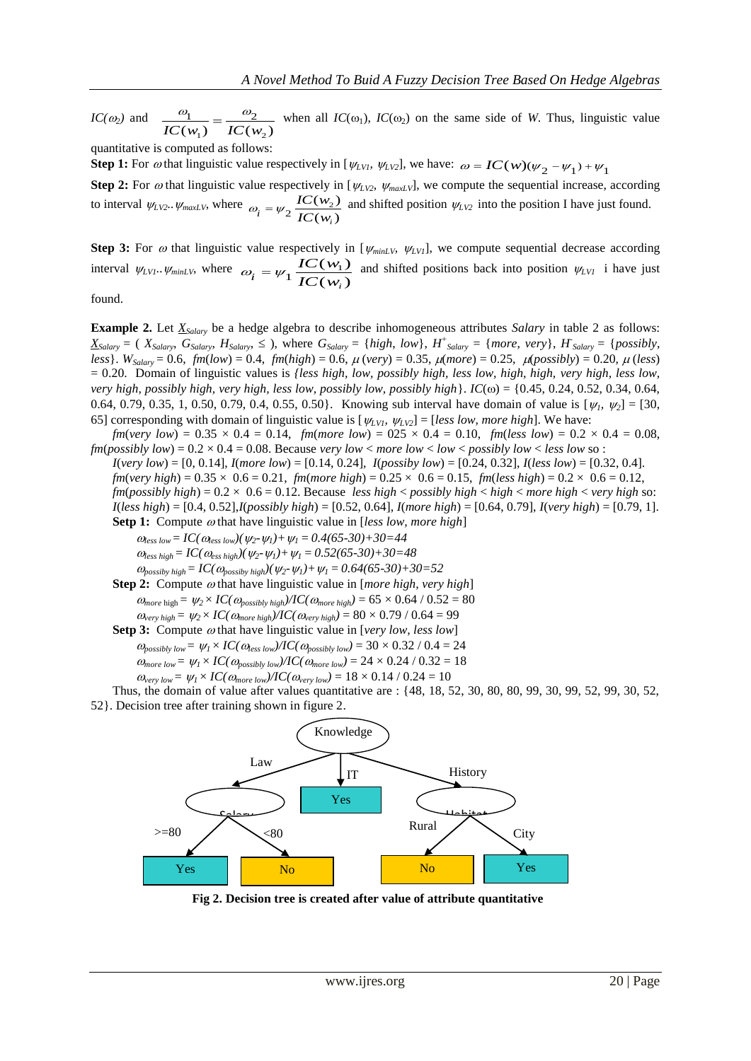*IC*( $\omega$ <sub>2</sub>) and  $l_1$ ) IC( $W_2$  $\frac{b_1}{1} = \frac{a_2}{1}$  $\overline{IC(w_1)} = \overline{IC(w_2)}$  $\frac{\omega_1}{\omega_2} = \frac{\omega_2}{\omega_1}$  when all *IC*( $\omega_1$ ), *IC*( $\omega_2$ ) on the same side of *W*. Thus, linguistic value

quantitative is computed as follows:

**Step 1:** For  $\omega$  that linguistic value respectively in [ $\psi_{LV}$ ,  $\psi_{LV2}$ ], we have:  $\omega = IC(w)(\psi_2 - \psi_1) + \psi_1$ 

**Step 2:** For  $\omega$  that linguistic value respectively in [ $\psi_{LV2}$ ,  $\psi_{maxLV}$ ], we compute the sequential increase, according to interval  $\psi_{LV2}$ ..  $\psi_{maxLV}$ , where  $\omega_i = \psi_2 \frac{I C (w_2)}{I C (w_2)}$  $(w_2)$  $\mathcal{V}_i = \mathcal{V}_2 \overline{IC(w_i)}$ *IC w*  $\omega_i = \psi_2 \frac{IC(W_2)}{IC(W_i)}$  and shifted position  $\psi_{LV2}$  into the position I have just found.

**Step 3:** For  $\omega$  that linguistic value respectively in [ $\psi_{minLV}$ ,  $\psi_{LVI}$ ], we compute sequential decrease according interval  $\psi_{LV1}$ *..*  $\psi_{minLV}$ , where  $\omega_i = \psi_1 \frac{I C(W_1)}{I C(W_1)}$  $(w_1)$  $P_i = \psi_1 \overline{IC(w_i)}$ *IC w*  $\omega_i = \psi_1 \frac{IC(W_1)}{IC(W_i)}$  and shifted positions back into position  $\psi_{LV}$  i have just

found.

**Example 2.** Let *XSalary* be a hedge algebra to describe inhomogeneous attributes *Salary* in table 2 as follows:  $\underline{X}_{Salary} = (X_{Salary}, G_{Salary}, H_{Salary}, \leq)$ , where  $G_{Salary} = \{high, low\}, H^+_{Salary} = \{more, very\}, H_{Salary} = \{possibly,$ *less*}.  $W_{\text{Salary}} = 0.6$ ,  $\int m(\text{low}) = 0.4$ ,  $\int m(\text{high}) = 0.6$ ,  $\mu(\text{very}) = 0.35$ ,  $\mu(\text{more}) = 0.25$ ,  $\mu(\text{possibly}) = 0.20$ ,  $\mu(\text{less})$ = 0.20. Domain of linguistic values is *{less high, low, possibly high, less low, high, high, very high, less low, very high, possibly high, very high, less low, possibly low, possibly high*}.  $IC(\omega) = \{0.45, 0.24, 0.52, 0.34, 0.64, 0.64, 0.64, 0.64, 0.64, 0.64, 0.64, 0.64, 0.64, 0.64, 0.64, 0.64, 0.64, 0.64, 0.64, 0.64, 0.64, 0.64, 0.$ 0.64, 0.79, 0.35, 1, 0.50, 0.79, 0.4, 0.55, 0.50}. Knowing sub interval have domain of value is  $[\psi_1, \psi_2] = [30,$ 65] corresponding with domain of linguistic value is  $[\psi_{LVI}$ ,  $\psi_{LV2}] = [less low, more high]$ . We have:

*fm*(*very low*) =  $0.35 \times 0.4 = 0.14$ , *fm*(*more low*) =  $0.25 \times 0.4 = 0.10$ , *fm*(*less low*) =  $0.2 \times 0.4 = 0.08$ , *fm*(*possibly low*) = 0.2 × 0.4 = 0.08. Because *very low* < *more low* < *low* < *possibly low* < *less low* so :

*I*(*very low*) = [0, 0.14], *I*(*more low*) = [0.14, 0.24], *I*(*possiby low*) = [0.24, 0.32], *I*(*less low*) = [0.32, 0.4]. *fm*(*very high*) = 0.35 × 0.6 = 0.21, *fm*(*more high*) = 0.25 × 0.6 = 0.15, *fm*(*less high*) = 0.2 × 0.6 = 0.12, *fm*(*possibly high*) = 0.2 × 0.6 = 0.12. Because *less high* < *possibly high* < *high* < *more high* < *very high* so: *I*(*less high*) = [0.4, 0.52],*I*(*possibly high*) = [0.52, 0.64], *I*(*more high*) = [0.64, 0.79], *I*(*very high*) = [0.79, 1]. **Setp 1:** Compute  $\omega$  that have linguistic value in [*less low, more high*]

 $\omega_{less\,low} = IC(\omega_{less\,low}) (\psi_2 - \psi_1) + \psi_1 = 0.4(65-30)+30=44$ 

 $\omega_{less\ high} = IC(\omega_{ess\ high}) (\psi_{2} - \psi_{1}) + \psi_{1} = 0.52(65-30)+30=48$ 

 $\omega_{possibly\ high} = IC(\omega_{possibly\ high}) (\psi_2 - \psi_1) + \psi_1 = 0.64(65-30) + 30 = 52$ 

**Step 2:** Compute  $\omega$  that have linguistic value in [*more high, very high*]

 $\omega_{more \; high} = \psi_2 \times IC(\omega_{possibly \; high}/IC(\omega_{more \; high}) = 65 \times 0.64 / 0.52 = 80$ 

 $\omega_{\text{very high}} = \psi_2 \times IC(\omega_{\text{more high}})/IC(\omega_{\text{very high}}) = 80 \times 0.79 / 0.64 = 99$ 

**Setp 3:** Compute  $\omega$  that have linguistic value in [*very low, less low*]

 $\omega_{possibly low} = \psi_I \times IC(\omega_{less low})/IC(\omega_{possibly low}) = 30 \times 0.32 / 0.4 = 24$ 

 $\omega_{more\,low} = \psi_I \times IC(\omega_{possibly\,low})/IC(\omega_{more\,low}) = 24 \times 0.24 / 0.32 = 18$  $\omega_{\text{very low}} = \psi_I \times IC(\omega_{\text{more low}})/IC(\omega_{\text{very low}}) = 18 \times 0.14 / 0.24 = 10$ 

Thus, the domain of value after values quantitative are : {48, 18, 52, 30, 80, 80, 99, 30, 99, 52, 99, 30, 52, 52}. Decision tree after training shown in figure 2.



**Fig 2. Decision tree is created after value of attribute quantitative**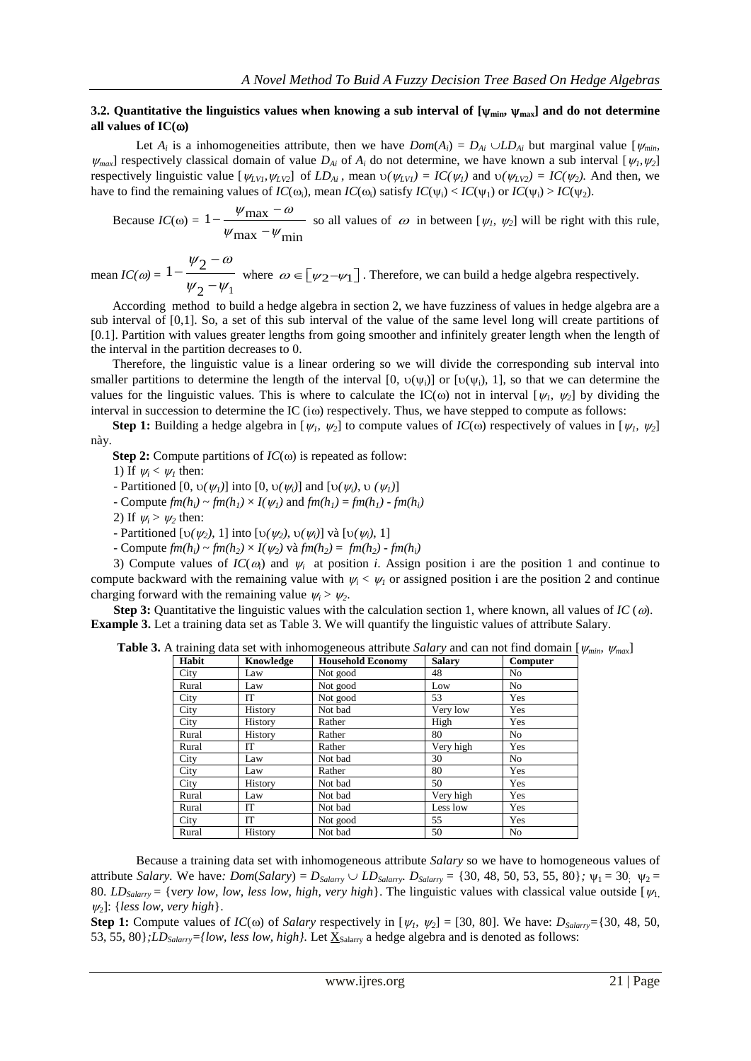### **3.2. Quantitative the linguistics values when knowing a sub interval of**  $[\psi_{min}, \psi_{max}]$  **and do not determine** all values of  $IC(\omega)$

Let  $A_i$  is a inhomogeneities attribute, then we have  $Dom(A_i) = D_{Ai} \cup LD_{Ai}$  but marginal value [ $\psi_{min}$ ,  $\nu_{max}$  respectively classical domain of value  $D_{Ai}$  of  $A_i$  do not determine, we have known a sub interval  $[\psi_i, \psi_j]$ respectively linguistic value  $[\psi_{LV}$ ,  $\psi_{LV2}]$  of  $LD_{Ai}$ , mean  $\nu(\psi_{LV1}) = IC(\psi_1)$  and  $\nu(\psi_{LV2}) = IC(\psi_2)$ . And then, we have to find the remaining values of  $IC(\omega_i)$ , mean  $IC(\omega_i)$  satisfy  $IC(\psi_i) < IC(\psi_1)$  or  $IC(\psi_i) > IC(\psi_2)$ .

Because  $IC(\omega) = 1 - \frac{V_{\text{max}}}{V}$  $max -\psi_{\min}$  $\psi_{\text{max}} - \omega$  $\psi_{\text{max}} - \psi$  $-\frac{\psi_{\text{max}}-1}{2}$ so all values of  $\omega$  in between  $[\psi_1, \psi_2]$  will be right with this rule,  $-\psi_{\min}$ 

mean  $IC(\omega)$  =  $2 - \frac{\varphi_1}{2}$  $1-\frac{\psi_2-\omega_1}{\sqrt{2-\omega_1}}$  $\psi_{\gamma}$  –  $\psi$  $\overline{a}$  $\overline{\phantom{0}}$ where  $\omega \in [\psi_2 - \psi_1]$ . Therefore, we can build a hedge algebra respectively.

According method to build a hedge algebra in section 2, we have fuzziness of values in hedge algebra are a sub interval of [0,1]. So, a set of this sub interval of the value of the same level long will create partitions of [0.1]. Partition with values greater lengths from going smoother and infinitely greater length when the length of the interval in the partition decreases to 0.

Therefore, the linguistic value is a linear ordering so we will divide the corresponding sub interval into smaller partitions to determine the length of the interval  $[0, v(\psi_i)]$  or  $[v(\psi_i), 1]$ , so that we can determine the values for the linguistic values. This is where to calculate the IC( $\omega$ ) not in interval  $[\psi_i, \psi_j]$  by dividing the interval in succession to determine the IC (i $\omega$ ) respectively. Thus, we have stepped to compute as follows:

**Step 1:** Building a hedge algebra in [ $\psi_1$ ,  $\psi_2$ ] to compute values of  $IC(\omega)$  respectively of values in [ $\psi_1$ ,  $\psi_2$ ] này.

**Step 2:** Compute partitions of  $IC(\omega)$  is repeated as follow:

1) If  $\psi_i < \psi_i$  then:

- Partitioned  $[0, v(\psi_i)]$  into  $[0, v(\psi_i)]$  and  $[v(\psi_i), v(\psi_i)]$ 

- Compute  $fm(h_i) \sim fm(h_1) \times I(\psi_1)$  and  $fm(h_1) = fm(h_1)$  -  $fm(h_i)$ 

2) If  $\psi_i > \psi_2$  then:

- Partitioned  $[\psi(\psi_2), 1]$  into  $[\psi(\psi_2), \psi(\psi_i)]$  và  $[\psi(\psi_i), 1]$ 

- Compute  $\lim_{h \to 0} (h_i) \sim \lim_{h \to 0} (h_2) \times I(\psi_2)$  và  $\lim_{h \to 0} (h_2) = \lim_{h \to 0} (h_i)$ 

3) Compute values of  $IC(\alpha_i)$  and  $\psi_i$  at position *i*. Assign position i are the position 1 and continue to compute backward with the remaining value with  $\psi_i < \psi_i$  or assigned position i are the position 2 and continue charging forward with the remaining value  $\psi_i > \psi_2$ .

**Step 3:** Quantitative the linguistic values with the calculation section 1, where known, all values of  $IC(\omega)$ . **Example 3.** Let a training data set as Table 3. We will quantify the linguistic values of attribute Salary.

| Habit | Knowledge | <b>Household Economy</b> | <b>Salary</b> | Computer       |
|-------|-----------|--------------------------|---------------|----------------|
| City  | Law       | Not good                 | 48            | N <sub>0</sub> |
| Rural | Law       | Not good                 | Low           | N <sub>0</sub> |
| City  | ľТ        | Not good                 | 53            | Yes            |
| City  | History   | Not bad                  | Very low      | Yes            |
| City  | History   | Rather                   | High          | Yes            |
| Rural | History   | Rather                   | 80            | N <sub>0</sub> |
| Rural | ľТ        | Rather                   | Very high     | Yes            |
| City  | Law       | Not bad                  | 30            | N <sub>0</sub> |
| City  | Law       | Rather                   | 80            | Yes            |
| City  | History   | Not bad                  | 50            | Yes            |
| Rural | Law       | Not bad                  | Very high     | Yes            |
| Rural | ľТ        | Not bad                  | Less low      | Yes            |
| City  | ľТ        | Not good                 | 55            | Yes            |
| Rural | History   | Not bad                  | 50            | N <sub>o</sub> |

**Table 3.** A training data set with inhomogeneous attribute *Salary* and can not find domain  $[\psi_{min}, \psi_{max}]$ 

Because a training data set with inhomogeneous attribute *Salary* so we have to homogeneous values of attribute *Salary*. We have:  $Dom(Salary) = D_{Salary} \cup LD_{Salary}$ .  $D_{Salary} = \{30, 48, 50, 53, 55, 80\}$ ;  $\psi_1 = 30$ ;  $\psi_2 =$ 80. *LD*<sub>Salarry</sub> = {very low, low, less low, high, very high}. The linguistic values with classical value outside [ $\psi$ <sub>1</sub>, 2]: {*less low, very high*}.

**Step 1:** Compute values of *IC*( $\omega$ ) of *Salary* respectively in  $[\psi_1, \psi_2] = [30, 80]$ . We have:  $D_{Salarry} = \{30, 48, 50,$ 53, 55, 80*};LD<sub>Salarry</sub>*=*{low, less low, high}*. Let  $\underline{X}_{Salarry}$  a hedge algebra and is denoted as follows: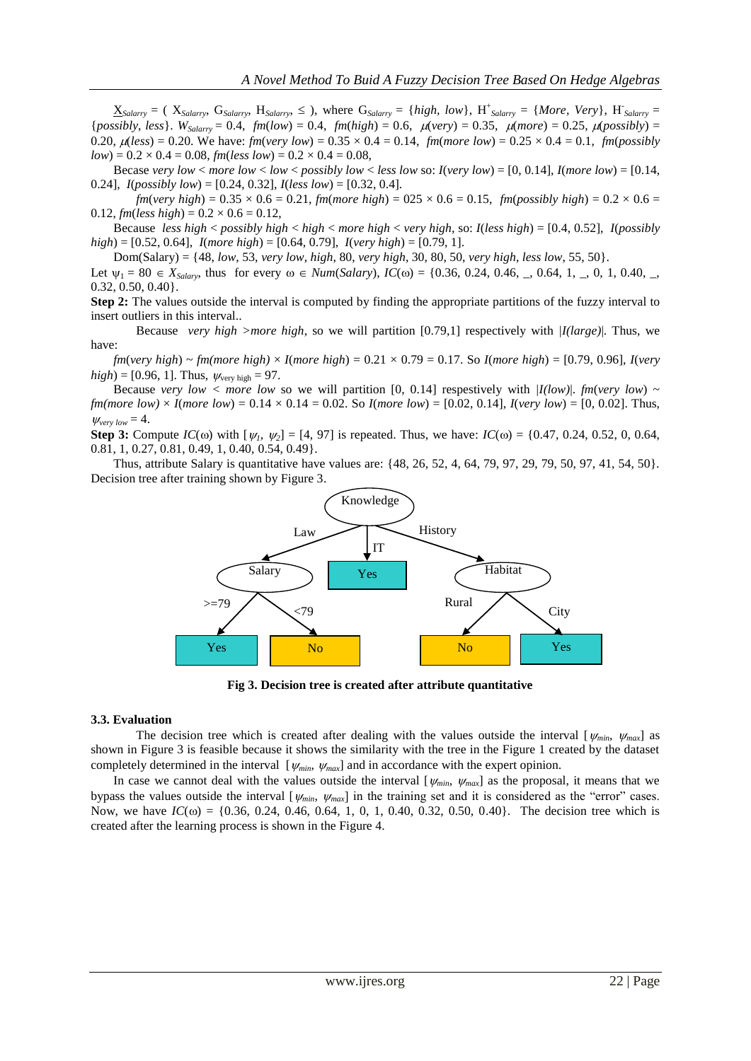$\underline{X}_{Salarry} = (X_{Salarry}, G_{Salarry}, H_{Salarry}, \leq),$  where  $G_{Salarry} = \{high, low\}, H^{+}_{Salarry} = \{More, Very\}, H^{-}_{Salarry} = \{1,1\}$  ${possibly, less}.$  *W*<sub>Salarry</sub> = 0.4,  $fm(low) = 0.4$ ,  $fm(high) = 0.6$ ,  $\mu(very) = 0.35$ ,  $\mu(more) = 0.25$ ,  $\mu(possibly) =$ 0.20,  $\mu (less) = 0.20$ . We have:  $\hbar m (very low) = 0.35 \times 0.4 = 0.14$ ,  $\hbar m (more low) = 0.25 \times 0.4 = 0.1$ ,  $\hbar m (possibly$  $low$ ) = 0.2 × 0.4 = 0.08,  $fm (less low)$  = 0.2 × 0.4 = 0.08,

Becase *very* low  $\lt$  *more low*  $\lt$  *low*  $\lt$  *possibly low*  $\lt$  *less low* so:  $I(very low) = [0, 0.14]$ ,  $I(more low) = [0.14, 0.14]$ 0.24], *I*(*possibly low*) = [0.24, 0.32], *I*(*less low*) = [0.32, 0.4].

*fm*(*very high*) =  $0.35 \times 0.6 = 0.21$ , *fm*(*more high*) =  $0.25 \times 0.6 = 0.15$ , *fm*(*possibly high*) =  $0.2 \times 0.6 = 0.21$ 0.12,  $\hat{f}m(less high) = 0.2 \times 0.6 = 0.12$ ,

Because *less high* < *possibly high* < *high* < *more high* < *very high,* so: *I*(*less high*) = [0.4, 0.52], *I*(*possibly high*) = [0.52, 0.64], *I*(*more high*) = [0.64, 0.79], *I*(*very high*) = [0.79, 1].

Dom(Salary) = {48, *low*, 53, *very low*, *high*, 80, *very high*, 30, 80, 50, *very high*, *less low*, 55, 50}.

Let  $\psi_1 = 80 \in X_{\text{Salar}}$ , thus for every  $\omega \in \text{Num(Salary)}$ ,  $IC(\omega) = \{0.36, 0.24, 0.46, ..., 0.64, 1, ..., 0, 1, 0.40, ...,$ 0.32, 0.50, 0.40}.

**Step 2:** The values outside the interval is computed by finding the appropriate partitions of the fuzzy interval to insert outliers in this interval..

Because *very high >more high*, so we will partition [0.79,1] respectively with *|I(large)*|. Thus, we have:

*fm*(*very high*) ~ *fm*(*more high*)  $\times$  *I*(*more high*) =  $0.21 \times 0.79 = 0.17$ . So *I*(*more high*) = [0.79, 0.96], *I*(*very*  $high$ ) = [0.96, 1]. Thus,  $\psi_{\text{very high}}$  = 97.

Because *very low < more low* so we will partition [0, 0.14] respestively with  $|I(low)|$ .  $f_m(very) \sim$ *fm(more low)*  $\times$  *I(more low)* = 0.14  $\times$  0.14 = 0.02. So *I(more low)* = [0.02, 0.14], *I(very low)* = [0, 0.02]. Thus,  $\psi_{\text{very low}} = 4.$ 

**Step 3:** Compute  $IC(\omega)$  with  $[\psi_1, \psi_2] = [4, 97]$  is repeated. Thus, we have:  $IC(\omega) = \{0.47, 0.24, 0.52, 0, 0.64,$ 0.81, 1, 0.27, 0.81, 0.49, 1, 0.40, 0.54, 0.49}.

Thus, attribute Salary is quantitative have values are: {48, 26, 52, 4, 64, 79, 97, 29, 79, 50, 97, 41, 54, 50}. Decision tree after training shown by Figure 3.



**Fig 3. Decision tree is created after attribute quantitative**

#### **3.3. Evaluation**

The decision tree which is created after dealing with the values outside the interval  $[\psi_{min}, \psi_{max}]$  as shown in Figure 3 is feasible because it shows the similarity with the tree in the Figure 1 created by the dataset completely determined in the interval  $[\psi_{min}, \psi_{max}]$  and in accordance with the expert opinion.

In case we cannot deal with the values outside the interval  $[\psi_{min}, \psi_{max}]$  as the proposal, it means that we bypass the values outside the interval  $[\psi_{min}, \psi_{max}]$  in the training set and it is considered as the "error" cases. Now, we have  $IC(\omega) = \{0.36, 0.24, 0.46, 0.64, 1, 0, 1, 0.40, 0.32, 0.50, 0.40\}$ . The decision tree which is created after the learning process is shown in the Figure 4.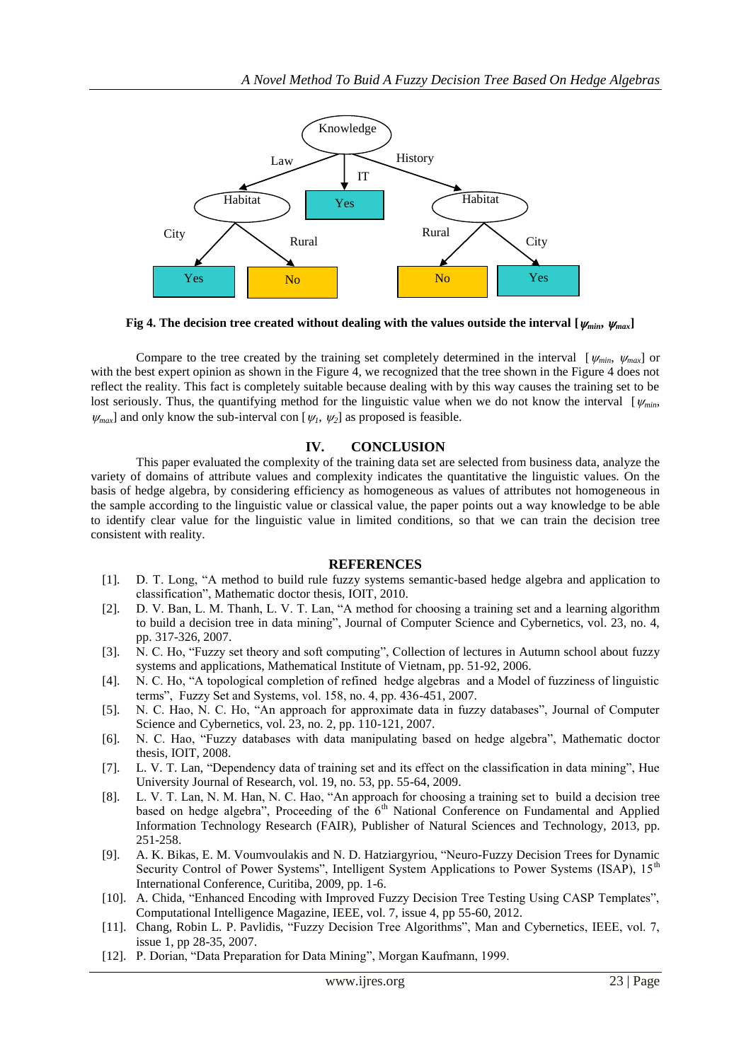

**Fig 4.** The decision tree created without dealing with the values outside the interval  $[\psi_{min}, \psi_{max}]$ 

Compare to the tree created by the training set completely determined in the interval  $[\psi_{min}, \psi_{max}]$  or with the best expert opinion as shown in the Figure 4, we recognized that the tree shown in the Figure 4 does not reflect the reality. This fact is completely suitable because dealing with by this way causes the training set to be lost seriously. Thus, the quantifying method for the linguistic value when we do not know the interval  $[\psi_{min}]$ ,  $\psi_{max}$ ] and only know the sub-interval con [ $\psi_1$ ,  $\psi_2$ ] as proposed is feasible.

# **IV. CONCLUSION**

This paper evaluated the complexity of the training data set are selected from business data, analyze the variety of domains of attribute values and complexity indicates the quantitative the linguistic values. On the basis of hedge algebra, by considering efficiency as homogeneous as values of attributes not homogeneous in the sample according to the linguistic value or classical value, the paper points out a way knowledge to be able to identify clear value for the linguistic value in limited conditions, so that we can train the decision tree consistent with reality.

## **REFERENCES**

- [1]. D. T. Long, "A method to build rule fuzzy systems semantic-based hedge algebra and application to classification", Mathematic doctor thesis, IOIT, 2010.
- [2]. D. V. Ban, L. M. Thanh, L. V. T. Lan, "A method for choosing a training set and a learning algorithm to build a decision tree in data mining", Journal of Computer Science and Cybernetics, vol. 23, no. 4, pp. 317-326, 2007.
- [3]. N. C. Ho, "Fuzzy set theory and soft computing", Collection of lectures in Autumn school about fuzzy systems and applications, Mathematical Institute of Vietnam, pp. 51-92, 2006.
- [4]. N. C. Ho, "A topological completion of refined hedge algebras and a Model of fuzziness of linguistic terms", Fuzzy Set and Systems, vol. 158, no. 4, pp. 436-451, 2007.
- [5]. N. C. Hao, N. C. Ho, "An approach for approximate data in fuzzy databases", Journal of Computer Science and Cybernetics, vol. 23, no. 2, pp. 110-121, 2007.
- [6]. N. C. Hao, "Fuzzy databases with data manipulating based on hedge algebra", Mathematic doctor thesis, IOIT, 2008.
- [7]. L. V. T. Lan, "Dependency data of training set and its effect on the classification in data mining", Hue University Journal of Research, vol. 19, no. 53, pp. 55-64, 2009.
- [8]. L. V. T. Lan, N. M. Han, N. C. Hao, "An approach for choosing a training set to build a decision tree based on hedge algebra", Proceeding of the  $6<sup>th</sup>$  National Conference on Fundamental and Applied Information Technology Research (FAIR), Publisher of Natural Sciences and Technology, 2013, pp. 251-258.
- [9]. A. K. Bikas, E. M. Voumvoulakis and N. D. Hatziargyriou, "Neuro-Fuzzy Decision Trees for Dynamic Security Control of Power Systems", Intelligent System Applications to Power Systems (ISAP),  $15<sup>th</sup>$ International Conference, Curitiba, 2009, pp. 1-6.
- [10]. A. [Chida, "](http://ieeexplore.ieee.org/search/searchresult.jsp?searchWithin=p_Authors:.QT.Chida,%20A..QT.&newsearch=partialPref)Enhanced Encoding with Improved Fuzzy Decision Tree Testing Using CASP Templates", [Computational Intelligence Magazine, IEEE,](http://ieeexplore.ieee.org/xpl/RecentIssue.jsp?punumber=10207) vol. 7, issue 4, pp 55-60, 2012.
- [11]. [Chang, Robin L. P.](http://ieeexplore.ieee.org/search/searchresult.jsp?searchWithin=p_Authors:.QT.Chang,%20Robin%20L.%20P..QT.&newsearch=partialPref) [Pavlidis, "](http://ieeexplore.ieee.org/search/searchresult.jsp?searchWithin=p_Authors:.QT.Chang,%20Robin%20L.%20P..QT.&newsearch=partialPref)Fuzzy Decision Tree Algorithms", Man and Cybernetics, IEEE, vol. 7, issue 1, pp 28-35, 2007.
- [12]. P. Dorian, "Data Preparation for Data Mining", Morgan Kaufmann, 1999.